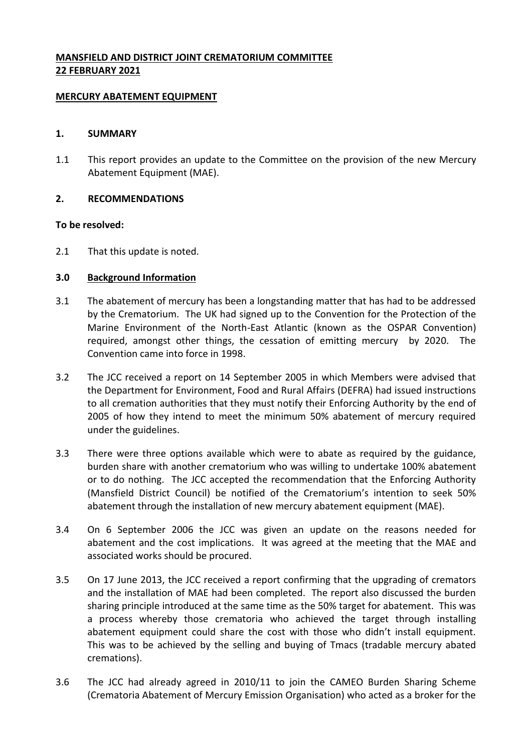# **MANSFIELD AND DISTRICT JOINT CREMATORIUM COMMITTEE 22 FEBRUARY 2021**

#### **MERCURY ABATEMENT EQUIPMENT**

#### **1. SUMMARY**

1.1 This report provides an update to the Committee on the provision of the new Mercury Abatement Equipment (MAE).

## **2. RECOMMENDATIONS**

## **To be resolved:**

2.1 That this update is noted.

## **3.0 Background Information**

- 3.1 The abatement of mercury has been a longstanding matter that has had to be addressed by the Crematorium. The UK had signed up to the Convention for the Protection of the Marine Environment of the North-East Atlantic (known as the OSPAR Convention) required, amongst other things, the cessation of emitting mercury by 2020. The Convention came into force in 1998.
- 3.2 The JCC received a report on 14 September 2005 in which Members were advised that the Department for Environment, Food and Rural Affairs (DEFRA) had issued instructions to all cremation authorities that they must notify their Enforcing Authority by the end of 2005 of how they intend to meet the minimum 50% abatement of mercury required under the guidelines.
- 3.3 There were three options available which were to abate as required by the guidance, burden share with another crematorium who was willing to undertake 100% abatement or to do nothing. The JCC accepted the recommendation that the Enforcing Authority (Mansfield District Council) be notified of the Crematorium's intention to seek 50% abatement through the installation of new mercury abatement equipment (MAE).
- 3.4 On 6 September 2006 the JCC was given an update on the reasons needed for abatement and the cost implications. It was agreed at the meeting that the MAE and associated works should be procured.
- 3.5 On 17 June 2013, the JCC received a report confirming that the upgrading of cremators and the installation of MAE had been completed. The report also discussed the burden sharing principle introduced at the same time as the 50% target for abatement. This was a process whereby those crematoria who achieved the target through installing abatement equipment could share the cost with those who didn't install equipment. This was to be achieved by the selling and buying of Tmacs (tradable mercury abated cremations).
- 3.6 The JCC had already agreed in 2010/11 to join the CAMEO Burden Sharing Scheme (Crematoria Abatement of Mercury Emission Organisation) who acted as a broker for the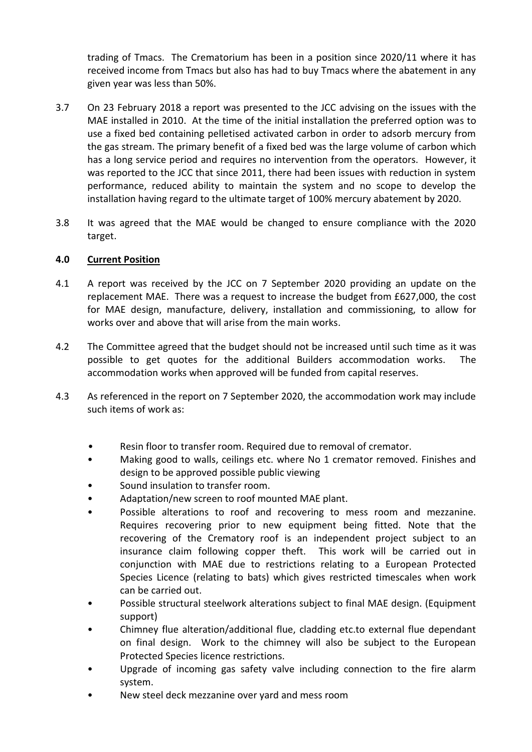trading of Tmacs. The Crematorium has been in a position since 2020/11 where it has received income from Tmacs but also has had to buy Tmacs where the abatement in any given year was less than 50%.

- 3.7 On 23 February 2018 a report was presented to the JCC advising on the issues with the MAE installed in 2010. At the time of the initial installation the preferred option was to use a fixed bed containing pelletised activated carbon in order to adsorb mercury from the gas stream. The primary benefit of a fixed bed was the large volume of carbon which has a long service period and requires no intervention from the operators. However, it was reported to the JCC that since 2011, there had been issues with reduction in system performance, reduced ability to maintain the system and no scope to develop the installation having regard to the ultimate target of 100% mercury abatement by 2020.
- 3.8 It was agreed that the MAE would be changed to ensure compliance with the 2020 target.

## **4.0 Current Position**

- 4.1 A report was received by the JCC on 7 September 2020 providing an update on the replacement MAE. There was a request to increase the budget from £627,000, the cost for MAE design, manufacture, delivery, installation and commissioning, to allow for works over and above that will arise from the main works.
- 4.2 The Committee agreed that the budget should not be increased until such time as it was possible to get quotes for the additional Builders accommodation works. The accommodation works when approved will be funded from capital reserves.
- 4.3 As referenced in the report on 7 September 2020, the accommodation work may include such items of work as:
	- Resin floor to transfer room. Required due to removal of cremator.
	- Making good to walls, ceilings etc. where No 1 cremator removed. Finishes and design to be approved possible public viewing
	- Sound insulation to transfer room.
	- Adaptation/new screen to roof mounted MAE plant.
	- Possible alterations to roof and recovering to mess room and mezzanine. Requires recovering prior to new equipment being fitted. Note that the recovering of the Crematory roof is an independent project subject to an insurance claim following copper theft. This work will be carried out in conjunction with MAE due to restrictions relating to a European Protected Species Licence (relating to bats) which gives restricted timescales when work can be carried out.
	- Possible structural steelwork alterations subject to final MAE design. (Equipment support)
	- Chimney flue alteration/additional flue, cladding etc.to external flue dependant on final design. Work to the chimney will also be subject to the European Protected Species licence restrictions.
	- Upgrade of incoming gas safety valve including connection to the fire alarm system.
	- New steel deck mezzanine over yard and mess room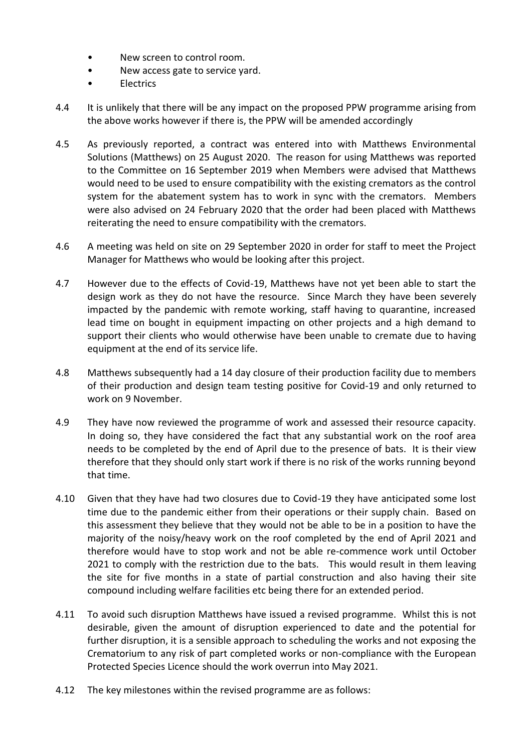- New screen to control room.
- New access gate to service yard.
- Electrics
- 4.4 It is unlikely that there will be any impact on the proposed PPW programme arising from the above works however if there is, the PPW will be amended accordingly
- 4.5 As previously reported, a contract was entered into with Matthews Environmental Solutions (Matthews) on 25 August 2020. The reason for using Matthews was reported to the Committee on 16 September 2019 when Members were advised that Matthews would need to be used to ensure compatibility with the existing cremators as the control system for the abatement system has to work in sync with the cremators. Members were also advised on 24 February 2020 that the order had been placed with Matthews reiterating the need to ensure compatibility with the cremators.
- 4.6 A meeting was held on site on 29 September 2020 in order for staff to meet the Project Manager for Matthews who would be looking after this project.
- 4.7 However due to the effects of Covid-19, Matthews have not yet been able to start the design work as they do not have the resource. Since March they have been severely impacted by the pandemic with remote working, staff having to quarantine, increased lead time on bought in equipment impacting on other projects and a high demand to support their clients who would otherwise have been unable to cremate due to having equipment at the end of its service life.
- 4.8 Matthews subsequently had a 14 day closure of their production facility due to members of their production and design team testing positive for Covid-19 and only returned to work on 9 November.
- 4.9 They have now reviewed the programme of work and assessed their resource capacity. In doing so, they have considered the fact that any substantial work on the roof area needs to be completed by the end of April due to the presence of bats. It is their view therefore that they should only start work if there is no risk of the works running beyond that time.
- 4.10 Given that they have had two closures due to Covid-19 they have anticipated some lost time due to the pandemic either from their operations or their supply chain. Based on this assessment they believe that they would not be able to be in a position to have the majority of the noisy/heavy work on the roof completed by the end of April 2021 and therefore would have to stop work and not be able re-commence work until October 2021 to comply with the restriction due to the bats. This would result in them leaving the site for five months in a state of partial construction and also having their site compound including welfare facilities etc being there for an extended period.
- 4.11 To avoid such disruption Matthews have issued a revised programme. Whilst this is not desirable, given the amount of disruption experienced to date and the potential for further disruption, it is a sensible approach to scheduling the works and not exposing the Crematorium to any risk of part completed works or non-compliance with the European Protected Species Licence should the work overrun into May 2021.
- 4.12 The key milestones within the revised programme are as follows: